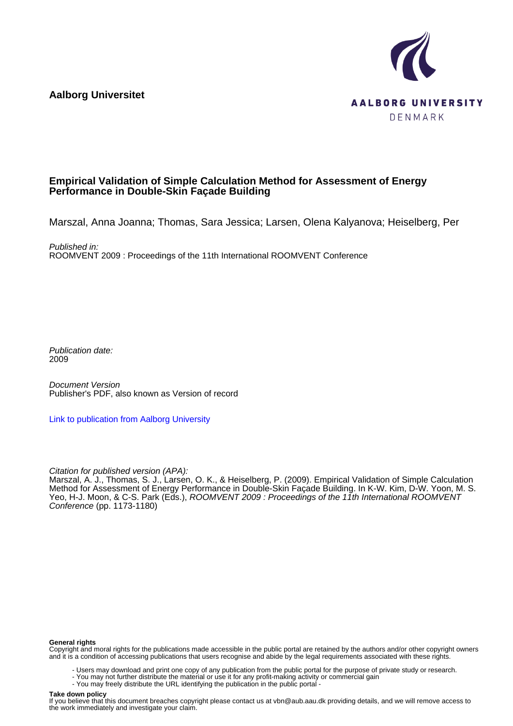**Aalborg Universitet**



#### **Empirical Validation of Simple Calculation Method for Assessment of Energy Performance in Double-Skin Façade Building**

Marszal, Anna Joanna; Thomas, Sara Jessica; Larsen, Olena Kalyanova; Heiselberg, Per

Published in: ROOMVENT 2009 : Proceedings of the 11th International ROOMVENT Conference

Publication date: 2009

Document Version Publisher's PDF, also known as Version of record

[Link to publication from Aalborg University](https://vbn.aau.dk/en/publications/6574e860-ff84-11de-9a61-000ea68e967b)

Citation for published version (APA):

Marszal, A. J., Thomas, S. J., Larsen, O. K., & Heiselberg, P. (2009). Empirical Validation of Simple Calculation Method for Assessment of Energy Performance in Double-Skin Façade Building. In K-W. Kim, D-W. Yoon, M. S. Yeo, H-J. Moon, & C-S. Park (Eds.), ROOMVENT 2009 : Proceedings of the 11th International ROOMVENT Conference (pp. 1173-1180)

#### **General rights**

Copyright and moral rights for the publications made accessible in the public portal are retained by the authors and/or other copyright owners and it is a condition of accessing publications that users recognise and abide by the legal requirements associated with these rights.

- Users may download and print one copy of any publication from the public portal for the purpose of private study or research.
- You may not further distribute the material or use it for any profit-making activity or commercial gain
- You may freely distribute the URL identifying the publication in the public portal -

#### **Take down policy**

If you believe that this document breaches copyright please contact us at vbn@aub.aau.dk providing details, and we will remove access to the work immediately and investigate your claim.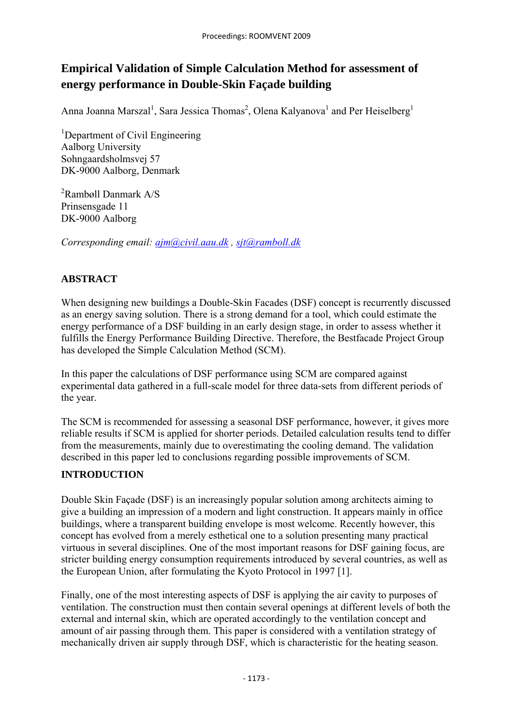# **Empirical Validation of Simple Calculation Method for assessment of energy performance in Double-Skin Façade building**

Anna Joanna Marszal<sup>1</sup>, Sara Jessica Thomas<sup>2</sup>, Olena Kalyanova<sup>1</sup> and Per Heiselberg<sup>1</sup>

<sup>1</sup>Department of Civil Engineering Aalborg University Sohngaardsholmsvej 57 DK-9000 Aalborg, Denmark

2 Rambøll Danmark A/S Prinsensgade 11 DK-9000 Aalborg

*Corresponding email: ajm@civil.aau.dk , sjt@ramboll.dk*

# **ABSTRACT**

When designing new buildings a Double-Skin Facades (DSF) concept is recurrently discussed as an energy saving solution. There is a strong demand for a tool, which could estimate the energy performance of a DSF building in an early design stage, in order to assess whether it fulfills the Energy Performance Building Directive. Therefore, the Bestfacade Project Group has developed the Simple Calculation Method (SCM).

In this paper the calculations of DSF performance using SCM are compared against experimental data gathered in a full-scale model for three data-sets from different periods of the year.

The SCM is recommended for assessing a seasonal DSF performance, however, it gives more reliable results if SCM is applied for shorter periods. Detailed calculation results tend to differ from the measurements, mainly due to overestimating the cooling demand. The validation described in this paper led to conclusions regarding possible improvements of SCM.

## **INTRODUCTION**

Double Skin Façade (DSF) is an increasingly popular solution among architects aiming to give a building an impression of a modern and light construction. It appears mainly in office buildings, where a transparent building envelope is most welcome. Recently however, this concept has evolved from a merely esthetical one to a solution presenting many practical virtuous in several disciplines. One of the most important reasons for DSF gaining focus, are stricter building energy consumption requirements introduced by several countries, as well as the European Union, after formulating the Kyoto Protocol in 1997 [1].

Finally, one of the most interesting aspects of DSF is applying the air cavity to purposes of ventilation. The construction must then contain several openings at different levels of both the external and internal skin, which are operated accordingly to the ventilation concept and amount of air passing through them. This paper is considered with a ventilation strategy of mechanically driven air supply through DSF, which is characteristic for the heating season.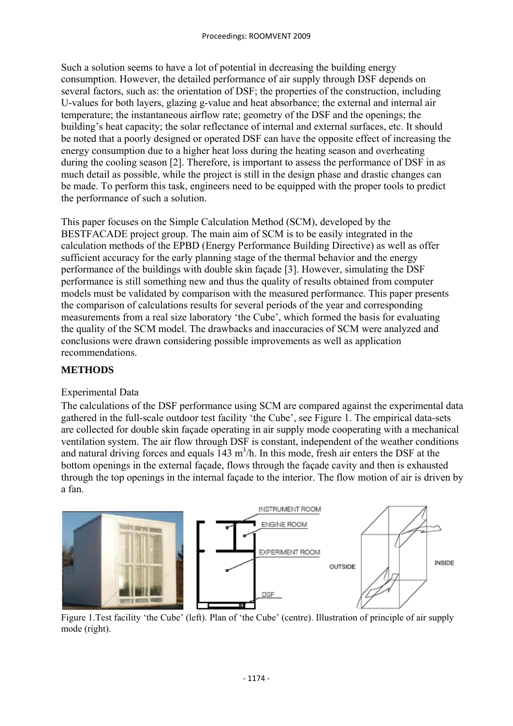Such a solution seems to have a lot of potential in decreasing the building energy consumption. However, the detailed performance of air supply through DSF depends on several factors, such as: the orientation of DSF; the properties of the construction, including U-values for both layers, glazing g-value and heat absorbance; the external and internal air temperature; the instantaneous airflow rate; geometry of the DSF and the openings; the building's heat capacity; the solar reflectance of internal and external surfaces, etc. It should be noted that a poorly designed or operated DSF can have the opposite effect of increasing the energy consumption due to a higher heat loss during the heating season and overheating during the cooling season [2]. Therefore, is important to assess the performance of DSF in as much detail as possible, while the project is still in the design phase and drastic changes can be made. To perform this task, engineers need to be equipped with the proper tools to predict the performance of such a solution.

This paper focuses on the Simple Calculation Method (SCM), developed by the BESTFACADE project group. The main aim of SCM is to be easily integrated in the calculation methods of the EPBD (Energy Performance Building Directive) as well as offer sufficient accuracy for the early planning stage of the thermal behavior and the energy performance of the buildings with double skin façade [3]. However, simulating the DSF performance is still something new and thus the quality of results obtained from computer models must be validated by comparison with the measured performance. This paper presents the comparison of calculations results for several periods of the year and corresponding measurements from a real size laboratory 'the Cube', which formed the basis for evaluating the quality of the SCM model. The drawbacks and inaccuracies of SCM were analyzed and conclusions were drawn considering possible improvements as well as application recommendations.

#### **METHODS**

#### Experimental Data

The calculations of the DSF performance using SCM are compared against the experimental data gathered in the full-scale outdoor test facility 'the Cube', see Figure 1. The empirical data-sets are collected for double skin façade operating in air supply mode cooperating with a mechanical ventilation system. The air flow through DSF is constant, independent of the weather conditions and natural driving forces and equals  $143 \text{ m}^3/\text{h}$ . In this mode, fresh air enters the DSF at the bottom openings in the external façade, flows through the façade cavity and then is exhausted through the top openings in the internal façade to the interior. The flow motion of air is driven by a fan.



Figure 1.Test facility 'the Cube' (left). Plan of 'the Cube' (centre). Illustration of principle of air supply mode (right).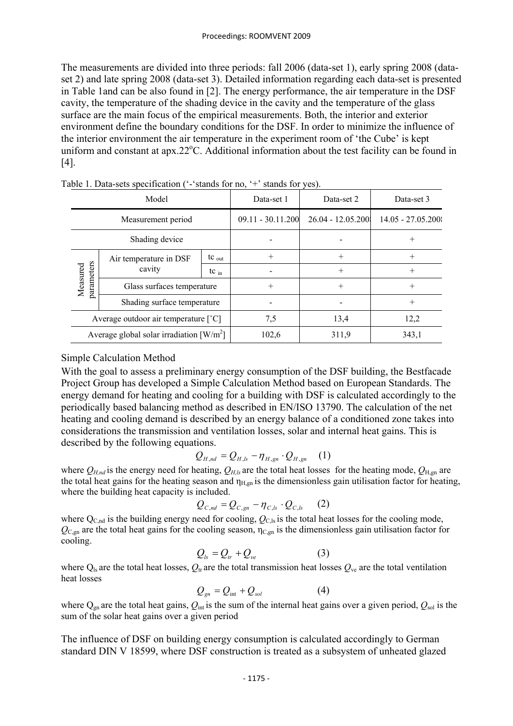The measurements are divided into three periods: fall 2006 (data-set 1), early spring 2008 (dataset 2) and late spring 2008 (data-set 3). Detailed information regarding each data-set is presented in Table 1and can be also found in [2]. The energy performance, the air temperature in the DSF cavity, the temperature of the shading device in the cavity and the temperature of the glass surface are the main focus of the empirical measurements. Both, the interior and exterior environment define the boundary conditions for the DSF. In order to minimize the influence of the interior environment the air temperature in the experiment room of 'the Cube' is kept uniform and constant at apx.22°C. Additional information about the test facility can be found in [4].

| Model                                                   |                                  |                   | Data-set 1          | Data-set 2        | Data-set 3           |
|---------------------------------------------------------|----------------------------------|-------------------|---------------------|-------------------|----------------------|
| Measurement period                                      |                                  |                   | $09.11 - 30.11.200$ | 26.04 - 12.05.200 | $14.05 - 27.05.2001$ |
| Shading device                                          |                                  |                   |                     |                   | $^+$                 |
| parameters<br>Measured                                  | Air temperature in DSF<br>cavity | $tc_{\text{out}}$ | $^{+}$              | $^{+}$            | $^{+}$               |
|                                                         |                                  | $tc_{in}$         |                     | $^+$              | $\hspace{0.1mm} +$   |
|                                                         | Glass surfaces temperature       |                   | $^{+}$              | $^{+}$            | $^{+}$               |
|                                                         | Shading surface temperature      |                   |                     |                   | $^{+}$               |
| Average outdoor air temperature $[^{\circ}C]$           |                                  |                   | 7,5                 | 13,4              | 12,2                 |
| Average global solar irradiation $\left[ W/m^2 \right]$ |                                  |                   | 102,6               | 311,9             | 343,1                |

Table 1. Data-sets specification ('-'stands for no, '+' stands for yes).

## Simple Calculation Method

With the goal to assess a preliminary energy consumption of the DSF building, the Bestfacade Project Group has developed a Simple Calculation Method based on European Standards. The energy demand for heating and cooling for a building with DSF is calculated accordingly to the periodically based balancing method as described in EN/ISO 13790. The calculation of the net heating and cooling demand is described by an energy balance of a conditioned zone takes into considerations the transmission and ventilation losses, solar and internal heat gains. This is described by the following equations.

$$
Q_{H,nd} = Q_{H,ls} - \eta_{H,gn} \cdot Q_{H,gn} \quad (1)
$$

where  $Q_{H,nd}$  is the energy need for heating,  $Q_{H,ls}$  are the total heat losses for the heating mode,  $Q_{H,gn}$  are the total heat gains for the heating season and  $\eta_{H,gn}$  is the dimensionless gain utilisation factor for heating, where the building heat capacity is included.

$$
Q_{C,nd} = Q_{C,gn} - \eta_{C,ls} \cdot Q_{C,ls} \qquad (2)
$$

where  $Q_{C,nd}$  is the building energy need for cooling,  $Q_{C,ls}$  is the total heat losses for the cooling mode,  $Q_{C,gn}$  are the total heat gains for the cooling season,  $\eta_{C,gn}$  is the dimensionless gain utilisation factor for cooling.

$$
Q_{ls} = Q_{tr} + Q_{ve}
$$
 (3)

where  $Q_{ls}$  are the total heat losses,  $Q_{tr}$  are the total transmission heat losses  $Q_{ve}$  are the total ventilation heat losses

$$
Q_{gn} = Q_{int} + Q_{sol} \tag{4}
$$

where  $Q_{gn}$  are the total heat gains,  $Q_{int}$  is the sum of the internal heat gains over a given period,  $Q_{sol}$  is the sum of the solar heat gains over a given period

The influence of DSF on building energy consumption is calculated accordingly to German standard DIN V 18599, where DSF construction is treated as a subsystem of unheated glazed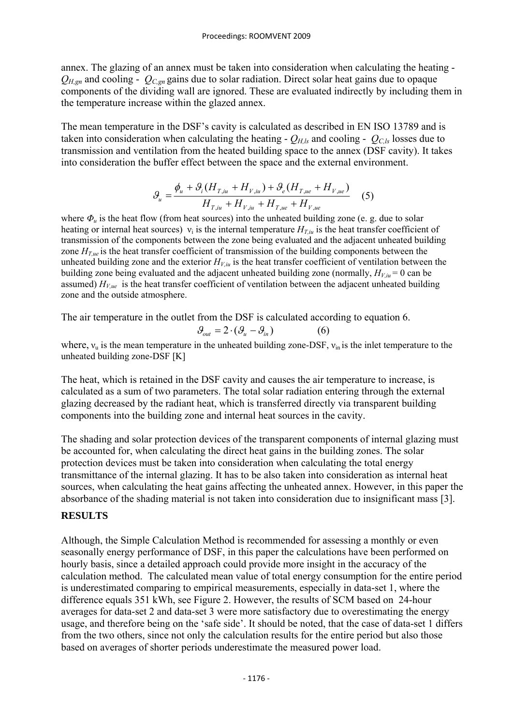annex. The glazing of an annex must be taken into consideration when calculating the heating -  $Q_{H,gn}$  and cooling -  $Q_{C,gn}$  gains due to solar radiation. Direct solar heat gains due to opaque components of the dividing wall are ignored. These are evaluated indirectly by including them in the temperature increase within the glazed annex.

The mean temperature in the DSF's cavity is calculated as described in EN ISO 13789 and is taken into consideration when calculating the heating -  $Q_{H,k}$  and cooling -  $Q_{C,k}$  losses due to transmission and ventilation from the heated building space to the annex (DSF cavity). It takes into consideration the buffer effect between the space and the external environment.

$$
\mathcal{G}_{u} = \frac{\phi_{u} + \mathcal{G}_{i}(H_{T,iu} + H_{V,iu}) + \mathcal{G}_{e}(H_{T,ue} + H_{V,ue})}{H_{T,iu} + H_{V,iu} + H_{T,ue} + H_{V,ue}} \quad (5)
$$

where  $\Phi_u$  is the heat flow (from heat sources) into the unheated building zone (e. g. due to solar heating or internal heat sources)  $v_i$  is the internal temperature  $H_{T_i}$  is the heat transfer coefficient of transmission of the components between the zone being evaluated and the adjacent unheated building zone  $H_{T,\mu}$  is the heat transfer coefficient of transmission of the building components between the unheated building zone and the exterior  $H_{V,iu}$  is the heat transfer coefficient of ventilation between the building zone being evaluated and the adjacent unheated building zone (normally,  $H_{V,u} = 0$  can be assumed)  $H_{V,ue}$  is the heat transfer coefficient of ventilation between the adjacent unheated building zone and the outside atmosphere.

The air temperature in the outlet from the DSF is calculated according to equation 6.

$$
\mathcal{G}_{out} = 2 \cdot (\mathcal{G}_u - \mathcal{G}_i) \tag{6}
$$

where,  $v<sub>u</sub>$  is the mean temperature in the unheated building zone-DSF,  $v<sub>in</sub>$  is the inlet temperature to the unheated building zone-DSF [K]

The heat, which is retained in the DSF cavity and causes the air temperature to increase, is calculated as a sum of two parameters. The total solar radiation entering through the external glazing decreased by the radiant heat, which is transferred directly via transparent building components into the building zone and internal heat sources in the cavity.

The shading and solar protection devices of the transparent components of internal glazing must be accounted for, when calculating the direct heat gains in the building zones. The solar protection devices must be taken into consideration when calculating the total energy transmittance of the internal glazing. It has to be also taken into consideration as internal heat sources, when calculating the heat gains affecting the unheated annex. However, in this paper the absorbance of the shading material is not taken into consideration due to insignificant mass [3].

#### **RESULTS**

Although, the Simple Calculation Method is recommended for assessing a monthly or even seasonally energy performance of DSF, in this paper the calculations have been performed on hourly basis, since a detailed approach could provide more insight in the accuracy of the calculation method. The calculated mean value of total energy consumption for the entire period is underestimated comparing to empirical measurements, especially in data-set 1, where the difference equals 351 kWh, see Figure 2. However, the results of SCM based on 24-hour averages for data-set 2 and data-set 3 were more satisfactory due to overestimating the energy usage, and therefore being on the 'safe side'. It should be noted, that the case of data-set 1 differs from the two others, since not only the calculation results for the entire period but also those based on averages of shorter periods underestimate the measured power load.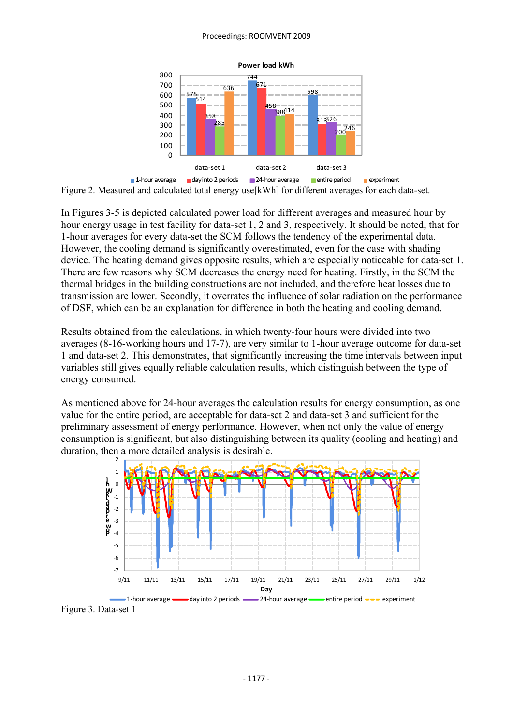#### Proceedings: ROOMVENT 2009



Figure 2. Measured and calculated total energy use[kWh] for different averages for each data-set.

In Figures 3-5 is depicted calculated power load for different averages and measured hour by hour energy usage in test facility for data-set 1, 2 and 3, respectively. It should be noted, that for 1-hour averages for every data-set the SCM follows the tendency of the experimental data. However, the cooling demand is significantly overestimated, even for the case with shading device. The heating demand gives opposite results, which are especially noticeable for data-set 1. There are few reasons why SCM decreases the energy need for heating. Firstly, in the SCM the thermal bridges in the building constructions are not included, and therefore heat losses due to transmission are lower. Secondly, it overrates the influence of solar radiation on the performance of DSF, which can be an explanation for difference in both the heating and cooling demand.

Results obtained from the calculations, in which twenty-four hours were divided into two averages (8-16-working hours and 17-7), are very similar to 1-hour average outcome for data-set 1 and data-set 2. This demonstrates, that significantly increasing the time intervals between input variables still gives equally reliable calculation results, which distinguish between the type of energy consumed.

As mentioned above for 24-hour averages the calculation results for energy consumption, as one value for the entire period, are acceptable for data-set 2 and data-set 3 and sufficient for the preliminary assessment of energy performance. However, when not only the value of energy consumption is significant, but also distinguishing between its quality (cooling and heating) and duration, then a more detailed analysis is desirable.



Figure 3. Data-set 1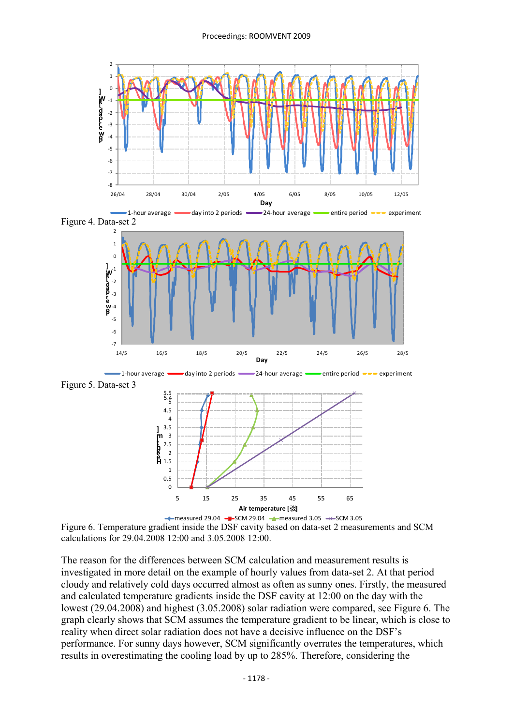

Figure 6. Temperature gradient inside the DSF cavity based on data-set 2 measurements and SCM calculations for 29.04.2008 12:00 and 3.05.2008 12:00.

The reason for the differences between SCM calculation and measurement results is investigated in more detail on the example of hourly values from data-set 2. At that period cloudy and relatively cold days occurred almost as often as sunny ones. Firstly, the measured and calculated temperature gradients inside the DSF cavity at 12:00 on the day with the lowest (29.04.2008) and highest (3.05.2008) solar radiation were compared, see Figure 6. The graph clearly shows that SCM assumes the temperature gradient to be linear, which is close to reality when direct solar radiation does not have a decisive influence on the DSF's performance. For sunny days however, SCM significantly overrates the temperatures, which results in overestimating the cooling load by up to 285%. Therefore, considering the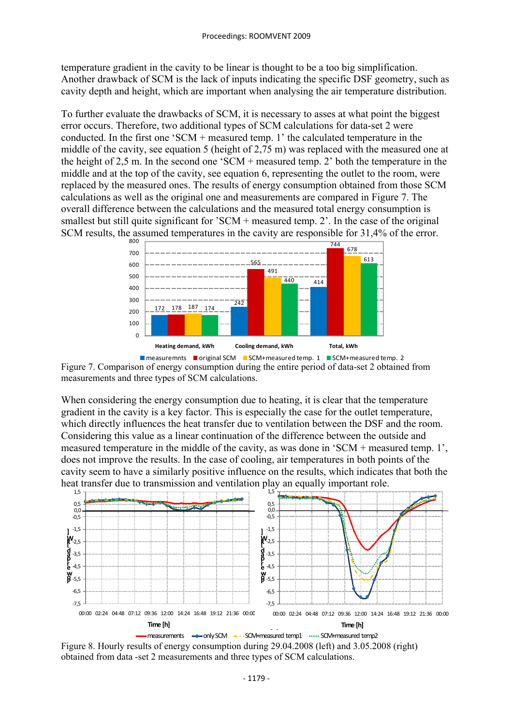temperature gradient in the cavity to be linear is thought to be a too big simplification. Another drawback of SCM is the lack of inputs indicating the specific DSF geometry, such as cavity depth and height, which are important when analysing the air temperature distribution.

To further evaluate the drawbacks of SCM, it is necessary to asses at what point the biggest error occurs. Therefore, two additional types of SCM calculations for data-set 2 were conducted. In the first one 'SCM + measured temp. 1' the calculated temperature in the middle of the cavity, see equation 5 (height of 2,75 m) was replaced with the measured one at the height of 2,5 m. In the second one 'SCM + measured temp. 2' both the temperature in the middle and at the top of the cavity, see equation 6, representing the outlet to the room, were replaced by the measured ones. The results of energy consumption obtained from those SCM calculations as well as the original one and measurements are compared in Figure 7. The overall difference between the calculations and the measured total energy consumption is smallest but still quite significant for 'SCM + measured temp. 2'. In the case of the original SCM results, the assumed temperatures in the cavity are responsible for 31,4% of the error.



**n**easuremnts **original SCM** SCM+measured temp. 1 SCM+measured temp. 2 Figure 7. Comparison of energy consumption during the entire period of data-set 2 obtained from measurements and three types of SCM calculations.

When considering the energy consumption due to heating, it is clear that the temperature gradient in the cavity is a key factor. This is especially the case for the outlet temperature, which directly influences the heat transfer due to ventilation between the DSF and the room. Considering this value as a linear continuation of the difference between the outside and measured temperature in the middle of the cavity, as was done in 'SCM + measured temp. 1', does not improve the results. In the case of cooling, air temperatures in both points of the cavity seem to have a similarly positive influence on the results, which indicates that both the heat transfer due to transmission and ventilation play an equally important role.



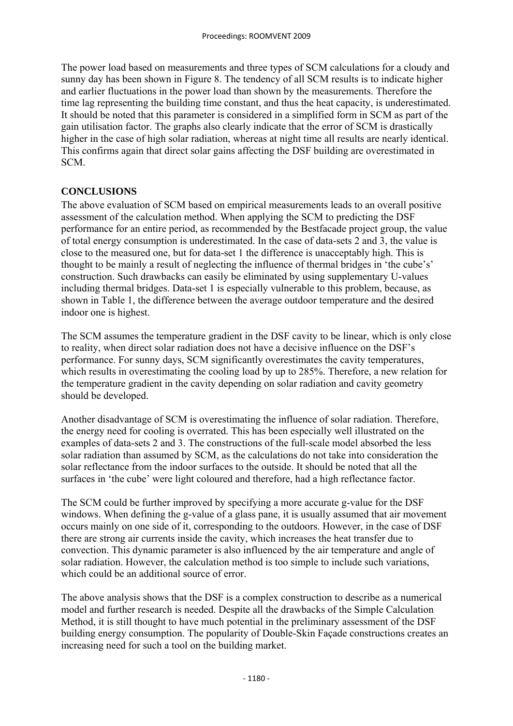The power load based on measurements and three types of SCM calculations for a cloudy and sunny day has been shown in Figure 8. The tendency of all SCM results is to indicate higher and earlier fluctuations in the power load than shown by the measurements. Therefore the time lag representing the building time constant, and thus the heat capacity, is underestimated. It should be noted that this parameter is considered in a simplified form in SCM as part of the gain utilisation factor. The graphs also clearly indicate that the error of SCM is drastically higher in the case of high solar radiation, whereas at night time all results are nearly identical. This confirms again that direct solar gains affecting the DSF building are overestimated in SCM.

## **CONCLUSIONS**

The above evaluation of SCM based on empirical measurements leads to an overall positive assessment of the calculation method. When applying the SCM to predicting the DSF performance for an entire period, as recommended by the Bestfacade project group, the value of total energy consumption is underestimated. In the case of data-sets 2 and 3, the value is close to the measured one, but for data-set 1 the difference is unacceptably high. This is thought to be mainly a result of neglecting the influence of thermal bridges in 'the cube's' construction. Such drawbacks can easily be eliminated by using supplementary U-values including thermal bridges. Data-set 1 is especially vulnerable to this problem, because, as shown in Table 1, the difference between the average outdoor temperature and the desired indoor one is highest.

The SCM assumes the temperature gradient in the DSF cavity to be linear, which is only close to reality, when direct solar radiation does not have a decisive influence on the DSF's performance. For sunny days, SCM significantly overestimates the cavity temperatures, which results in overestimating the cooling load by up to 285%. Therefore, a new relation for the temperature gradient in the cavity depending on solar radiation and cavity geometry should be developed.

Another disadvantage of SCM is overestimating the influence of solar radiation. Therefore, the energy need for cooling is overrated. This has been especially well illustrated on the examples of data-sets 2 and 3. The constructions of the full-scale model absorbed the less solar radiation than assumed by SCM, as the calculations do not take into consideration the solar reflectance from the indoor surfaces to the outside. It should be noted that all the surfaces in 'the cube' were light coloured and therefore, had a high reflectance factor.

The SCM could be further improved by specifying a more accurate g-value for the DSF windows. When defining the g-value of a glass pane, it is usually assumed that air movement occurs mainly on one side of it, corresponding to the outdoors. However, in the case of DSF there are strong air currents inside the cavity, which increases the heat transfer due to convection. This dynamic parameter is also influenced by the air temperature and angle of solar radiation. However, the calculation method is too simple to include such variations, which could be an additional source of error.

The above analysis shows that the DSF is a complex construction to describe as a numerical model and further research is needed. Despite all the drawbacks of the Simple Calculation Method, it is still thought to have much potential in the preliminary assessment of the DSF building energy consumption. The popularity of Double-Skin Façade constructions creates an increasing need for such a tool on the building market.